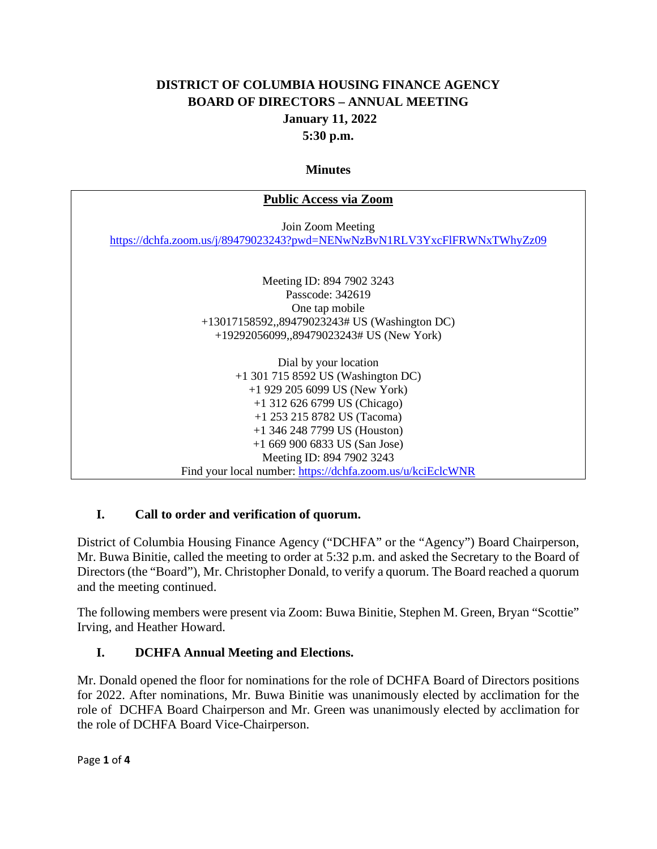### **DISTRICT OF COLUMBIA HOUSING FINANCE AGENCY BOARD OF DIRECTORS – ANNUAL MEETING January 11, 2022 5:30 p.m.**

#### **Minutes**

## **Public Access via Zoom** Join Zoom Meeting [https://dchfa.zoom.us/j/89479023243?pwd=NENwNzBvN1RLV3YxcFlFRWNxTWhyZz09](https://nam10.safelinks.protection.outlook.com/?url=https%3A%2F%2Fdchfa.zoom.us%2Fj%2F89479023243%3Fpwd%3DNENwNzBvN1RLV3YxcFlFRWNxTWhyZz09&data=04%7C01%7CJJackson%40dchfa.org%7C2102f34d3cd24dd553ca08d9cf841d38%7Ceb67f93a07b148e59e22c5c1a62bf643%7C0%7C0%7C637768988593918653%7CUnknown%7CTWFpbGZsb3d8eyJWIjoiMC4wLjAwMDAiLCJQIjoiV2luMzIiLCJBTiI6Ik1haWwiLCJXVCI6Mn0%3D%7C3000&sdata=1FX9AVYGZXXF21ClKPJNsQL5UwT74xk7XXktmhuIV0I%3D&reserved=0) Meeting ID: 894 7902 3243 Passcode: 342619 One tap mobile +13017158592,,89479023243# US (Washington DC) +19292056099,,89479023243# US (New York) Dial by your location +1 301 715 8592 US (Washington DC) +1 929 205 6099 US (New York) +1 312 626 6799 US (Chicago) +1 253 215 8782 US (Tacoma) +1 346 248 7799 US (Houston) +1 669 900 6833 US (San Jose) Meeting ID: 894 7902 3243 Find your local number: [https://dchfa.zoom.us/u/kciEclcWNR](https://nam10.safelinks.protection.outlook.com/?url=https%3A%2F%2Fdchfa.zoom.us%2Fu%2FkciEclcWNR&data=04%7C01%7CJJackson%40dchfa.org%7C2102f34d3cd24dd553ca08d9cf841d38%7Ceb67f93a07b148e59e22c5c1a62bf643%7C0%7C0%7C637768988593918653%7CUnknown%7CTWFpbGZsb3d8eyJWIjoiMC4wLjAwMDAiLCJQIjoiV2luMzIiLCJBTiI6Ik1haWwiLCJXVCI6Mn0%3D%7C3000&sdata=fxhi9AOkcz3tfimtCpdzLybPZ%2F891Vuf0gw02%2FSfxq0%3D&reserved=0)

### **I. Call to order and verification of quorum.**

District of Columbia Housing Finance Agency ("DCHFA" or the "Agency") Board Chairperson, Mr. Buwa Binitie, called the meeting to order at 5:32 p.m. and asked the Secretary to the Board of Directors (the "Board"), Mr. Christopher Donald, to verify a quorum. The Board reached a quorum and the meeting continued.

The following members were present via Zoom: Buwa Binitie, Stephen M. Green, Bryan "Scottie" Irving, and Heather Howard.

### **I. DCHFA Annual Meeting and Elections.**

Mr. Donald opened the floor for nominations for the role of DCHFA Board of Directors positions for 2022. After nominations, Mr. Buwa Binitie was unanimously elected by acclimation for the role of DCHFA Board Chairperson and Mr. Green was unanimously elected by acclimation for the role of DCHFA Board Vice-Chairperson.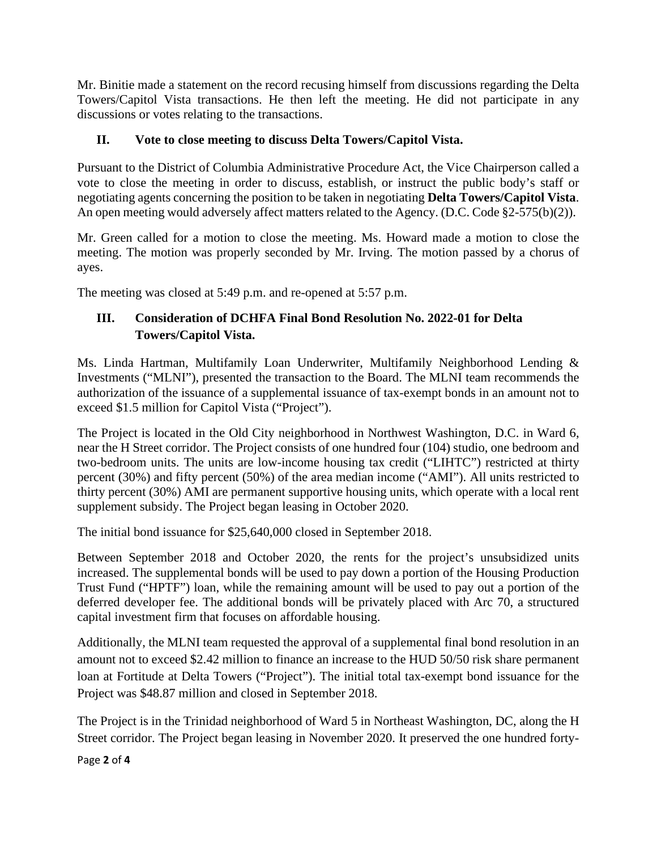Mr. Binitie made a statement on the record recusing himself from discussions regarding the Delta Towers/Capitol Vista transactions. He then left the meeting. He did not participate in any discussions or votes relating to the transactions.

### **II. Vote to close meeting to discuss Delta Towers/Capitol Vista.**

Pursuant to the District of Columbia Administrative Procedure Act, the Vice Chairperson called a vote to close the meeting in order to discuss, establish, or instruct the public body's staff or negotiating agents concerning the position to be taken in negotiating **Delta Towers/Capitol Vista**. An open meeting would adversely affect matters related to the Agency. (D.C. Code §2-575(b)(2)).

Mr. Green called for a motion to close the meeting. Ms. Howard made a motion to close the meeting. The motion was properly seconded by Mr. Irving. The motion passed by a chorus of ayes.

The meeting was closed at 5:49 p.m. and re-opened at 5:57 p.m.

## **III. Consideration of DCHFA Final Bond Resolution No. 2022-01 for Delta Towers/Capitol Vista.**

Ms. Linda Hartman, Multifamily Loan Underwriter, Multifamily Neighborhood Lending & Investments ("MLNI"), presented the transaction to the Board. The MLNI team recommends the authorization of the issuance of a supplemental issuance of tax-exempt bonds in an amount not to exceed \$1.5 million for Capitol Vista ("Project").

The Project is located in the Old City neighborhood in Northwest Washington, D.C. in Ward 6, near the H Street corridor. The Project consists of one hundred four (104) studio, one bedroom and two-bedroom units. The units are low-income housing tax credit ("LIHTC") restricted at thirty percent (30%) and fifty percent (50%) of the area median income ("AMI"). All units restricted to thirty percent (30%) AMI are permanent supportive housing units, which operate with a local rent supplement subsidy. The Project began leasing in October 2020.

The initial bond issuance for \$25,640,000 closed in September 2018.

Between September 2018 and October 2020, the rents for the project's unsubsidized units increased. The supplemental bonds will be used to pay down a portion of the Housing Production Trust Fund ("HPTF") loan, while the remaining amount will be used to pay out a portion of the deferred developer fee. The additional bonds will be privately placed with Arc 70, a structured capital investment firm that focuses on affordable housing.

Additionally, the MLNI team requested the approval of a supplemental final bond resolution in an amount not to exceed \$2.42 million to finance an increase to the HUD 50/50 risk share permanent loan at Fortitude at Delta Towers ("Project"). The initial total tax-exempt bond issuance for the Project was \$48.87 million and closed in September 2018.

The Project is in the Trinidad neighborhood of Ward 5 in Northeast Washington, DC, along the H Street corridor. The Project began leasing in November 2020. It preserved the one hundred forty-

Page **2** of **4**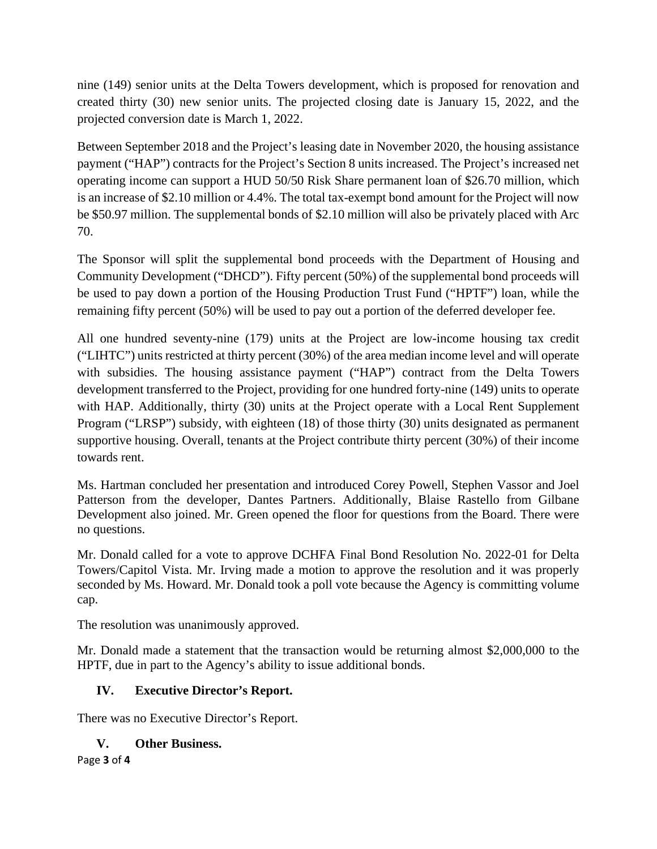nine (149) senior units at the Delta Towers development, which is proposed for renovation and created thirty (30) new senior units. The projected closing date is January 15, 2022, and the projected conversion date is March 1, 2022.

Between September 2018 and the Project's leasing date in November 2020, the housing assistance payment ("HAP") contracts for the Project's Section 8 units increased. The Project's increased net operating income can support a HUD 50/50 Risk Share permanent loan of \$26.70 million, which is an increase of \$2.10 million or 4.4%. The total tax-exempt bond amount for the Project will now be \$50.97 million. The supplemental bonds of \$2.10 million will also be privately placed with Arc 70.

The Sponsor will split the supplemental bond proceeds with the Department of Housing and Community Development ("DHCD"). Fifty percent (50%) of the supplemental bond proceeds will be used to pay down a portion of the Housing Production Trust Fund ("HPTF") loan, while the remaining fifty percent (50%) will be used to pay out a portion of the deferred developer fee.

All one hundred seventy-nine (179) units at the Project are low-income housing tax credit ("LIHTC") units restricted at thirty percent (30%) of the area median income level and will operate with subsidies. The housing assistance payment ("HAP") contract from the Delta Towers development transferred to the Project, providing for one hundred forty-nine (149) units to operate with HAP. Additionally, thirty (30) units at the Project operate with a Local Rent Supplement Program ("LRSP") subsidy, with eighteen (18) of those thirty (30) units designated as permanent supportive housing. Overall, tenants at the Project contribute thirty percent (30%) of their income towards rent.

Ms. Hartman concluded her presentation and introduced Corey Powell, Stephen Vassor and Joel Patterson from the developer, Dantes Partners. Additionally, Blaise Rastello from Gilbane Development also joined. Mr. Green opened the floor for questions from the Board. There were no questions.

Mr. Donald called for a vote to approve DCHFA Final Bond Resolution No. 2022-01 for Delta Towers/Capitol Vista. Mr. Irving made a motion to approve the resolution and it was properly seconded by Ms. Howard. Mr. Donald took a poll vote because the Agency is committing volume cap.

The resolution was unanimously approved.

Mr. Donald made a statement that the transaction would be returning almost \$2,000,000 to the HPTF, due in part to the Agency's ability to issue additional bonds.

## **IV. Executive Director's Report.**

There was no Executive Director's Report.

# **V. Other Business.**

Page **3** of **4**